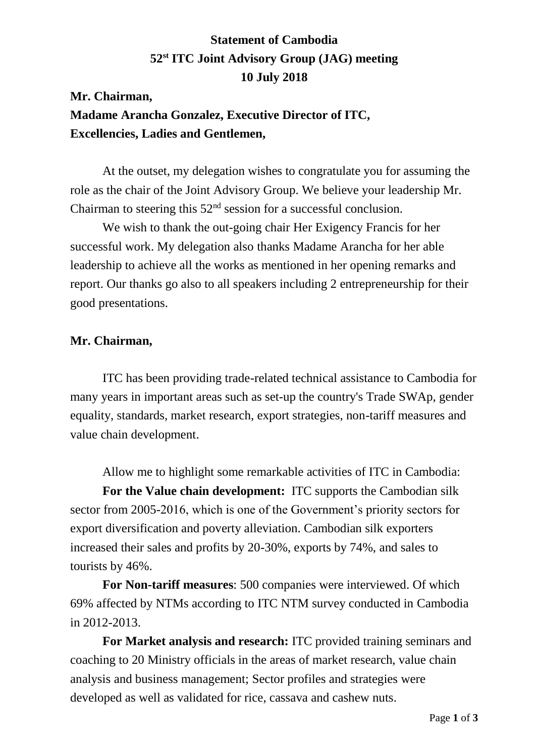# **Statement of Cambodia 52 st ITC Joint Advisory Group (JAG) meeting 10 July 2018**

## **Mr. Chairman, Madame Arancha Gonzalez, Executive Director of ITC, Excellencies, Ladies and Gentlemen,**

At the outset, my delegation wishes to congratulate you for assuming the role as the chair of the Joint Advisory Group. We believe your leadership Mr. Chairman to steering this  $52<sup>nd</sup>$  session for a successful conclusion.

We wish to thank the out-going chair Her Exigency Francis for her successful work. My delegation also thanks Madame Arancha for her able leadership to achieve all the works as mentioned in her opening remarks and report. Our thanks go also to all speakers including 2 entrepreneurship for their good presentations.

#### **Mr. Chairman,**

ITC has been providing trade-related technical assistance to Cambodia for many years in important areas such as set-up the country's Trade SWAp, gender equality, standards, market research, export strategies, non-tariff measures and value chain development.

Allow me to highlight some remarkable activities of ITC in Cambodia:

**For the Value chain development:** ITC supports the Cambodian silk sector from 2005-2016, which is one of the Government's priority sectors for export diversification and poverty alleviation. Cambodian silk exporters increased their sales and profits by 20-30%, exports by 74%, and sales to tourists by 46%.

**For Non-tariff measures**: 500 companies were interviewed. Of which 69% affected by NTMs according to ITC NTM survey conducted in Cambodia in 2012-2013.

**For Market analysis and research:** ITC provided training seminars and coaching to 20 Ministry officials in the areas of market research, value chain analysis and business management; Sector profiles and strategies were developed as well as validated for rice, cassava and cashew nuts.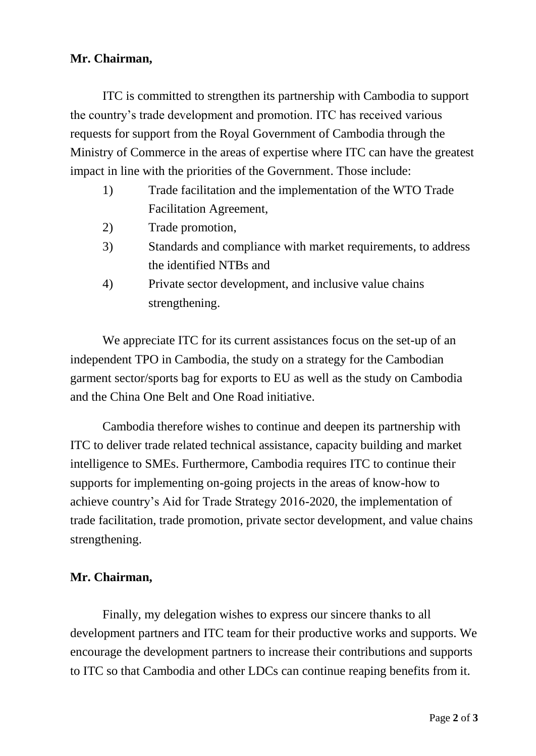#### **Mr. Chairman,**

ITC is committed to strengthen its partnership with Cambodia to support the country's trade development and promotion. ITC has received various requests for support from the Royal Government of Cambodia through the Ministry of Commerce in the areas of expertise where ITC can have the greatest impact in line with the priorities of the Government. Those include:

- 1) Trade facilitation and the implementation of the WTO Trade Facilitation Agreement,
- 2) Trade promotion,
- 3) Standards and compliance with market requirements, to address the identified NTBs and
- 4) Private sector development, and inclusive value chains strengthening.

We appreciate ITC for its current assistances focus on the set-up of an independent TPO in Cambodia, the study on a strategy for the Cambodian garment sector/sports bag for exports to EU as well as the study on Cambodia and the China One Belt and One Road initiative.

Cambodia therefore wishes to continue and deepen its partnership with ITC to deliver trade related technical assistance, capacity building and market intelligence to SMEs. Furthermore, Cambodia requires ITC to continue their supports for implementing on-going projects in the areas of know-how to achieve country's Aid for Trade Strategy 2016-2020, the implementation of trade facilitation, trade promotion, private sector development, and value chains strengthening.

### **Mr. Chairman,**

Finally, my delegation wishes to express our sincere thanks to all development partners and ITC team for their productive works and supports. We encourage the development partners to increase their contributions and supports to ITC so that Cambodia and other LDCs can continue reaping benefits from it.